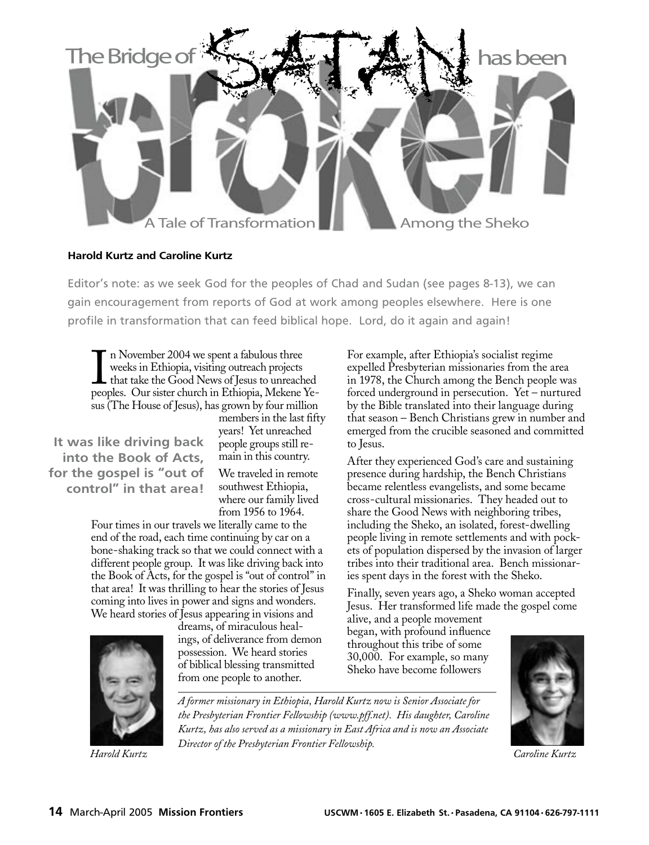

## **Harold Kurtz and Caroline Kurtz**

Editor's note: as we seek God for the peoples of Chad and Sudan (see pages 8-13), we can gain encouragement from reports of God at work among peoples elsewhere. Here is one profile in transformation that can feed biblical hope. Lord, do it again and again!

In November 2004 we spent a fabulous three<br>weeks in Ethiopia, visiting outreach projects<br>that take the Good News of Jesus to unreached<br>peoples. Our sister church in Ethiopia, Mekene Yen November 2004 we spent a fabulous three weeks in Ethiopia, visiting outreach projects that take the Good News of Jesus to unreached sus (The House of Jesus), has grown by four million

 **It was like driving back into the Book of Acts, for the gospel is "out of control" in that area!**

members in the last fifty years! Yet unreached people groups still remain in this country. We traveled in remote southwest Ethiopia,

where our family lived from 1956 to 1964.

Four times in our travels we literally came to the end of the road, each time continuing by car on a bone-shaking track so that we could connect with a different people group. It was like driving back into the Book of Acts, for the gospel is "out of control" in that area! It was thrilling to hear the stories of Jesus coming into lives in power and signs and wonders. We heard stories of Jesus appearing in visions and

dreams, of miraculous healings, of deliverance from demon possession. We heard stories of biblical blessing transmitted from one people to another.

For example, after Ethiopia's socialist regime expelled Presbyterian missionaries from the area in 1978, the Church among the Bench people was forced underground in persecution. Yet – nurtured by the Bible translated into their language during that season – Bench Christians grew in number and emerged from the crucible seasoned and committed to Jesus.

After they experienced God's care and sustaining presence during hardship, the Bench Christians became relentless evangelists, and some became cross-cultural missionaries. They headed out to share the Good News with neighboring tribes, including the Sheko, an isolated, forest-dwelling people living in remote settlements and with pockets of population dispersed by the invasion of larger tribes into their traditional area. Bench missionaries spent days in the forest with the Sheko.

Finally, seven years ago, a Sheko woman accepted Jesus. Her transformed life made the gospel come

alive, and a people movement began, with profound influence throughout this tribe of some 30,000. For example, so many Sheko have become followers



*A former missionary in Ethiopia, Harold Kurtz now is Senior Associate for the Presbyterian Frontier Fellowship (www.pff.net). His daughter, Caroline Kurtz, has also served as a missionary in East Africa and is now an Associate Director of the Presbyterian Frontier Fellowship. Harold Kurtz Caroline Kurtz*